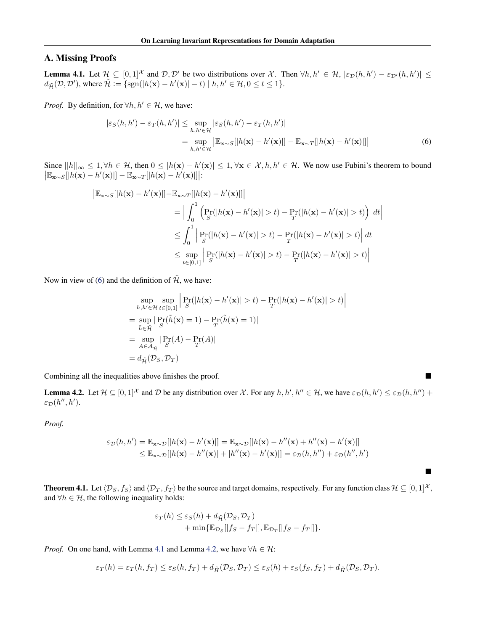## <span id="page-0-0"></span>A. Missing Proofs

**Lemma 4.1.** Let  $\mathcal{H} \subseteq [0,1]^{\mathcal{X}}$  and  $\mathcal{D}, \mathcal{D}'$  be two distributions over  $\mathcal{X}$ . Then  $\forall h, h' \in \mathcal{H}$ ,  $|\varepsilon_{\mathcal{D}}(h, h') - \varepsilon_{\mathcal{D}'}(h, h')| \leq$  $d_{\tilde{\mathcal{H}}}(\mathcal{D}, \mathcal{D}')$ , where  $\tilde{\mathcal{H}} := \{ \text{sgn}(|h(\mathbf{x}) - h'(\mathbf{x})| - t) \mid h, h' \in \mathcal{H}, 0 \le t \le 1 \}.$ 

*Proof.* By definition, for  $\forall h, h' \in \mathcal{H}$ , we have:

$$
|\varepsilon_{S}(h, h') - \varepsilon_{T}(h, h')| \leq \sup_{h, h' \in \mathcal{H}} |\varepsilon_{S}(h, h') - \varepsilon_{T}(h, h')|
$$
  
= 
$$
\sup_{h, h' \in \mathcal{H}} \left| \mathbb{E}_{\mathbf{x} \sim S}[|h(\mathbf{x}) - h'(\mathbf{x})|] - \mathbb{E}_{\mathbf{x} \sim T}[|h(\mathbf{x}) - h'(\mathbf{x})|] \right|
$$
 (6)

Since  $||h||_{\infty} \leq 1, \forall h \in \mathcal{H}$ , then  $0 \leq |h(\mathbf{x}) - h'(\mathbf{x})| \leq 1, \forall \mathbf{x} \in \mathcal{X}, h, h' \in \mathcal{H}$ . We now use Fubini's theorem to bound  $\left| \mathbb{E}_{\mathbf{x} \sim S}[|h(\mathbf{x}) - h'(\mathbf{x})|] - \mathbb{E}_{\mathbf{x} \sim T}[|h(\mathbf{x}) - h'(\mathbf{x})|] \right|$ :

$$
\begin{aligned} \left| \mathbb{E}_{\mathbf{x} \sim S} [|h(\mathbf{x}) - h'(\mathbf{x})|] - \mathbb{E}_{\mathbf{x} \sim T} [|h(\mathbf{x}) - h'(\mathbf{x})|] \right| \\ &= \Big| \int_0^1 \Big( \Pr_{S} (|h(\mathbf{x}) - h'(\mathbf{x})| > t) - \Pr_{T} (|h(\mathbf{x}) - h'(\mathbf{x})| > t) \Big) \ dt \Big| \\ &\leq \int_0^1 \Big| \Pr_{S} (|h(\mathbf{x}) - h'(\mathbf{x})| > t) - \Pr_{T} (|h(\mathbf{x}) - h'(\mathbf{x})| > t) \Big| \ dt \\ &\leq \sup_{t \in [0,1]} \Big| \Pr_{S} (|h(\mathbf{x}) - h'(\mathbf{x})| > t) - \Pr_{T} (|h(\mathbf{x}) - h'(\mathbf{x})| > t) \Big| \end{aligned}
$$

Now in view of (6) and the definition of  $\tilde{\mathcal{H}}$ , we have:

$$
\sup_{h,h' \in \mathcal{H}} \sup_{t \in [0,1]} \left| \Pr_{S}(|h(\mathbf{x}) - h'(\mathbf{x})| > t) - \Pr_{T}(|h(\mathbf{x}) - h'(\mathbf{x})| > t) \right|
$$
\n
$$
= \sup_{\tilde{h} \in \tilde{\mathcal{H}}} \left| \Pr_{S}(\tilde{h}(\mathbf{x}) = 1) - \Pr_{T}(\tilde{h}(\mathbf{x}) = 1) \right|
$$
\n
$$
= \sup_{A \in \mathcal{A}_{\tilde{\mathcal{H}}}} \left| \Pr_{S}(A) - \Pr_{T}(A) \right|
$$
\n
$$
= d_{\tilde{\mathcal{H}}}(\mathcal{D}_{S}, \mathcal{D}_{T})
$$

Combining all the inequalities above finishes the proof.

**Lemma 4.2.** Let  $\mathcal{H} \subseteq [0,1]^{\mathcal{X}}$  and  $\mathcal{D}$  be any distribution over  $\mathcal{X}$ . For any  $h, h', h'' \in \mathcal{H}$ , we have  $\varepsilon_{\mathcal{D}}(h, h') \leq \varepsilon_{\mathcal{D}}(h, h'') +$  $\varepsilon_{\mathcal{D}}(h'',h').$ 

*Proof.*

$$
\varepsilon_{\mathcal{D}}(h, h') = \mathbb{E}_{\mathbf{x} \sim \mathcal{D}}[|h(\mathbf{x}) - h'(\mathbf{x})|] = \mathbb{E}_{\mathbf{x} \sim \mathcal{D}}[|h(\mathbf{x}) - h''(\mathbf{x}) + h''(\mathbf{x}) - h'(\mathbf{x})|]
$$
  
\n
$$
\leq \mathbb{E}_{\mathbf{x} \sim \mathcal{D}}[|h(\mathbf{x}) - h''(\mathbf{x})| + |h''(\mathbf{x}) - h'(\mathbf{x})|] = \varepsilon_{\mathcal{D}}(h, h'') + \varepsilon_{\mathcal{D}}(h'', h')
$$

**Theorem 4.1.** Let  $\langle \mathcal{D}_S, f_S \rangle$  and  $\langle \mathcal{D}_T, f_T \rangle$  be the source and target domains, respectively. For any function class  $\mathcal{H} \subseteq [0,1]^{\mathcal{X}}$ , and  $\forall h \in \mathcal{H}$ , the following inequality holds:

 $\blacksquare$ 

$$
\varepsilon_T(h) \leq \varepsilon_S(h) + d_{\tilde{\mathcal{H}}}(\mathcal{D}_S, \mathcal{D}_T) + \min{\mathbb{E}_{\mathcal{D}_S}[|f_S - f_T|], \mathbb{E}_{\mathcal{D}_T}[|f_S - f_T|]}.
$$

*Proof.* On one hand, with Lemma 4.1 and Lemma 4.2, we have  $\forall h \in \mathcal{H}$ :

$$
\varepsilon_T(h) = \varepsilon_T(h, f_T) \le \varepsilon_S(h, f_T) + d_{\tilde{H}}(\mathcal{D}_S, \mathcal{D}_T) \le \varepsilon_S(h) + \varepsilon_S(f_S, f_T) + d_{\tilde{H}}(\mathcal{D}_S, \mathcal{D}_T).
$$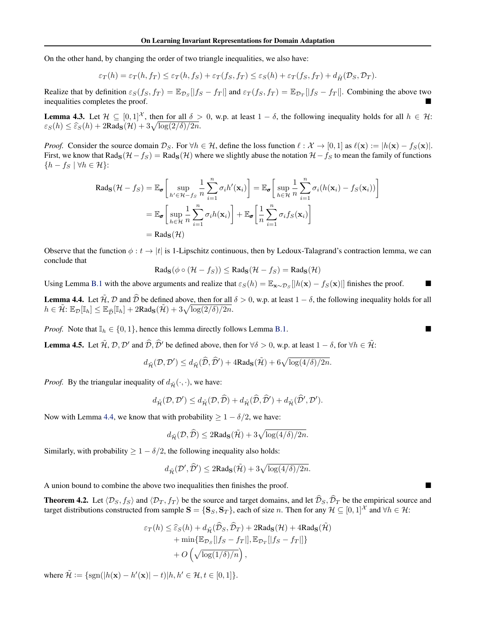On the other hand, by changing the order of two triangle inequalities, we also have:

$$
\varepsilon_T(h) = \varepsilon_T(h, f_T) \le \varepsilon_T(h, f_S) + \varepsilon_T(f_S, f_T) \le \varepsilon_S(h) + \varepsilon_T(f_S, f_T) + d_{\tilde{H}}(\mathcal{D}_S, \mathcal{D}_T).
$$

Realize that by definition  $\varepsilon_S(f_S, f_T) = \mathbb{E}_{\mathcal{D}_S}[|f_S - f_T|]$  and  $\varepsilon_T(f_S, f_T) = \mathbb{E}_{\mathcal{D}_T}[|f_S - f_T|]$ . Combining the above two inequalities completes the proof inequalities completes the proof.

**Lemma 4.3.** Let  $\mathcal{H} \subseteq [0,1]^{\mathcal{X}}$ , then for all  $\delta > 0$ , w.p. at least  $1 - \delta$ , the following inequality holds for all  $h \in \mathcal{H}$ :  $\varepsilon_S(h) \leq \widehat{\varepsilon}_S(h) + 2\text{Rad}_{\mathbf{S}}(\mathcal{H}) + 3\sqrt{\log(2/\delta)/2n}$ .

*Proof.* Consider the source domain  $\mathcal{D}_S$ . For  $\forall h \in \mathcal{H}$ , define the loss function  $\ell : \mathcal{X} \to [0,1]$  as  $\ell(\mathbf{x}) := |h(\mathbf{x}) - f_S(\mathbf{x})|$ . First, we know that Rad<sub>S</sub>( $H - fs$ ) = Rad<sub>S</sub>( $H$ ) where we slightly abuse the notation  $H - fs$  to mean the family of functions  ${h - f_s | \forall h \in \mathcal{H}}$ :

$$
\text{Rads}(\mathcal{H} - f_S) = \mathbb{E}_{\sigma} \left[ \sup_{h' \in \mathcal{H} - f_S} \frac{1}{n} \sum_{i=1}^n \sigma_i h'(\mathbf{x}_i) \right] = \mathbb{E}_{\sigma} \left[ \sup_{h \in \mathcal{H}} \frac{1}{n} \sum_{i=1}^n \sigma_i (h(\mathbf{x}_i) - f_S(\mathbf{x}_i)) \right]
$$

$$
= \mathbb{E}_{\sigma} \left[ \sup_{h \in \mathcal{H}} \frac{1}{n} \sum_{i=1}^n \sigma_i h(\mathbf{x}_i) \right] + \mathbb{E}_{\sigma} \left[ \frac{1}{n} \sum_{i=1}^n \sigma_i f_S(\mathbf{x}_i) \right]
$$

$$
= \text{Rads}(\mathcal{H})
$$

Observe that the function  $\phi : t \to |t|$  is 1-Lipschitz continuous, then by Ledoux-Talagrand's contraction lemma, we can conclude that

$$
Rad_{\mathbf{S}}(\phi \circ (\mathcal{H} - f_S)) \leq Rad_{\mathbf{S}}(\mathcal{H} - f_S) = Rad_{\mathbf{S}}(\mathcal{H})
$$

Using Lemma [B.1](#page-3-0) with the above arguments and realize that  $\varepsilon_S(h) = \mathbb{E}_{\mathbf{x} \sim \mathcal{D}_S}[|h(\mathbf{x}) - f_S(\mathbf{x})|]$  finishes the proof.

**Lemma 4.4.** Let  $\hat{\mathcal{H}}$ ,  $\hat{\mathcal{D}}$  and  $\hat{\mathcal{D}}$  be defined above, then for all  $\delta > 0$ , w.p. at least  $1 - \delta$ , the following inequality holds for all  $h \in \mathcal{H}$ :  $\mathbb{E}_{\mathcal{D}}[\mathbb{I}_h] \leq \mathbb{E}_{\widehat{\mathcal{D}}}[\mathbb{I}_h]+2\text{Rad}_{\mathbf{S}}(\mathcal{H})+3\sqrt{\log(2/\delta)}/2n$ .

*Proof.* Note that  $\mathbb{I}_h \in \{0, 1\}$ , hence this lemma directly follows Lemma [B.1.](#page-3-0)

**Lemma 4.5.** Let  $\tilde{\mathcal{H}}$ ,  $\mathcal{D}$ ,  $\mathcal{D}'$  and  $\hat{\mathcal{D}}$ ,  $\hat{\mathcal{D}}'$  be defined above, then for  $\forall \delta > 0$ , w.p. at least  $1 - \delta$ , for  $\forall h \in \tilde{\mathcal{H}}$ :

$$
d_{\tilde{\mathcal{H}}}(\mathcal{D}, \mathcal{D}') \leq d_{\tilde{\mathcal{H}}}(\widehat{\mathcal{D}}, \widehat{\mathcal{D}}') + 4\mathrm{Rad}_{\mathbf{S}}(\tilde{\mathcal{H}}) + 6\sqrt{\log(4/\delta)/2n}.
$$

*Proof.* By the triangular inequality of  $d_{\tilde{H}}(\cdot, \cdot)$ , we have:

$$
d_{\tilde{\mathcal{H}}}(\mathcal{D}, \mathcal{D}') \leq d_{\tilde{\mathcal{H}}}(\mathcal{D}, \tilde{\mathcal{D}}) + d_{\tilde{\mathcal{H}}}(\tilde{\mathcal{D}}, \tilde{\mathcal{D}}') + d_{\tilde{\mathcal{H}}}(\tilde{\mathcal{D}}', \mathcal{D}').
$$

Now with Lemma [4.4,](#page-0-0) we know that with probability  $\geq 1 - \delta/2$ , we have:

$$
d_{\tilde{\mathcal{H}}}(\mathcal{D}, \hat{\mathcal{D}}) \leq 2\mathrm{Rad}_{\mathbf{S}}(\tilde{\mathcal{H}}) + 3\sqrt{\log(4/\delta)/2n}.
$$

Similarly, with probability  $\geq 1 - \delta/2$ , the following inequality also holds:

$$
d_{\tilde{\mathcal{H}}}(\mathcal{D}', \hat{\mathcal{D}}') \leq 2\mathrm{Rad}_{\mathbf{S}}(\tilde{\mathcal{H}}) + 3\sqrt{\log(4/\delta)/2n}.
$$

A union bound to combine the above two inequalities then finishes the proof.

**Theorem 4.2.** Let  $\langle \mathcal{D}_S, f_S \rangle$  and  $\langle \mathcal{D}_T, f_T \rangle$  be the source and target domains, and let  $\widehat{\mathcal{D}}_S$ ,  $\widehat{\mathcal{D}}_T$  be the empirical source and target distributions constructed from sample  $S = \{S_S, S_T\}$ , each of size *n*. Then for any  $\mathcal{H} \subseteq [0,1]^{\mathcal{X}}$  and  $\forall h \in \mathcal{H}$ :

$$
\varepsilon_T(h) \leq \widehat{\varepsilon}_S(h) + d_{\tilde{\mathcal{H}}}(\widehat{\mathcal{D}}_S, \widehat{\mathcal{D}}_T) + 2\text{Rad}_{\mathbf{S}}(\mathcal{H}) + 4\text{Rad}_{\mathbf{S}}(\tilde{\mathcal{H}})
$$

$$
+ \min{\{\mathbb{E}_{\mathcal{D}_S}[|f_S - f_T|], \mathbb{E}_{\mathcal{D}_T}[|f_S - f_T|]\}}
$$

$$
+ O\left(\sqrt{\log(1/\delta)/n}\right),
$$

where  $\tilde{\mathcal{H}} := \{ \text{sgn}(|h(\mathbf{x}) - h'(\mathbf{x})| - t) | h, h' \in \mathcal{H}, t \in [0, 1] \}.$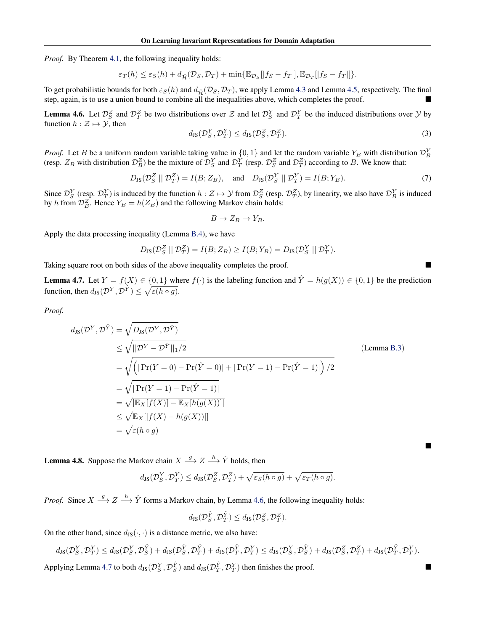*Proof.* By Theorem [4.1,](#page-0-0) the following inequality holds:

$$
\varepsilon_T(h) \leq \varepsilon_S(h) + d_{\tilde{\mathcal{H}}}(\mathcal{D}_S, \mathcal{D}_T) + \min{\{\mathbb{E}_{\mathcal{D}_S}[|f_S - f_T|], \mathbb{E}_{\mathcal{D}_T}[|f_S - f_T|]\}}.
$$

To get probabilistic bounds for both  $\varepsilon_S(h)$  and  $d_{\tilde{H}}(D_S, D_T)$ , we apply Lemma [4.3](#page-0-0) and Lemma [4.5,](#page-0-0) respectively. The final step, again, is to use a union bound to combine all the inequalities above, which completes th step, again, is to use a union bound to combine all the inequalities above, which completes the proof.

**Lemma 4.6.** Let  $\mathcal{D}_S^Z$  and  $\mathcal{D}_T^Z$  be two distributions over  $\mathcal Z$  and let  $\mathcal{D}_S^Y$  and  $\mathcal{D}_T^Y$  be the induced distributions over  $\mathcal Y$  by function  $h : \mathcal{Z} \mapsto \mathcal{Y}$ , then

$$
d_{\text{JS}}(\mathcal{D}_S^Y, \mathcal{D}_T^Y) \le d_{\text{JS}}(\mathcal{D}_S^Z, \mathcal{D}_T^Z). \tag{3}
$$

*Proof.* Let *B* be a uniform random variable taking value in  $\{0, 1\}$  and let the random variable  $Y_B$  with distribution  $\mathcal{D}_B^Y$ (resp.  $Z_B$  with distribution  $\mathcal{D}_B^Z$ ) be the mixture of  $\mathcal{D}_S^Y$  and  $\mathcal{D}_T^Y$  (resp.  $\mathcal{D}_S^Z$  and  $\mathcal{D}_T^Z$ ) according to B. We know that:

$$
D_{\text{JS}}(\mathcal{D}_S^Z \parallel \mathcal{D}_T^Z) = I(B; Z_B), \quad \text{and} \quad D_{\text{JS}}(\mathcal{D}_S^Y \parallel \mathcal{D}_T^Y) = I(B; Y_B). \tag{7}
$$

Since  $\mathcal{D}_{S}^{Y}$  (resp.  $\mathcal{D}_{T}^{Y}$ ) is induced by the function  $h: \mathcal{Z} \mapsto \mathcal{Y}$  from  $\mathcal{D}_{S}^{Z}$  (resp.  $\mathcal{D}_{T}^{Z}$ ), by linearity, we also have  $\mathcal{D}_{B}^{Y}$  is induced by *h* from  $\mathcal{D}_B^Z$ . Hence  $Y_B = h(Z_B)$  and the following Markov chain holds:

$$
B \to Z_B \to Y_B.
$$

Apply the data processing inequality (Lemma [B.4\)](#page-3-0), we have

$$
D_{\text{JS}}(\mathcal{D}_S^Z \mid \mid \mathcal{D}_T^Z) = I(B; Z_B) \ge I(B; Y_B) = D_{\text{JS}}(\mathcal{D}_S^Y \mid \mid \mathcal{D}_T^Y).
$$

Taking square root on both sides of the above inequality completes the proof.

**Lemma 4.7.** Let  $Y = f(X) \in \{0, 1\}$  where  $f(\cdot)$  is the labeling function and  $\hat{Y} = h(g(X)) \in \{0, 1\}$  be the prediction function, then  $d_{\text{JS}}(\mathcal{D}^Y, \mathcal{D}^{\hat{Y}}) \leq \sqrt{\varepsilon(h \circ g)}$ .

*Proof.*

$$
d_{\text{JS}}(\mathcal{D}^{Y}, \mathcal{D}^{\hat{Y}}) = \sqrt{D_{\text{JS}}(\mathcal{D}^{Y}, \mathcal{D}^{\hat{Y}})}
$$
  
\n
$$
\leq \sqrt{||\mathcal{D}^{Y} - \mathcal{D}^{\hat{Y}}||_{1}/2}
$$
  
\n
$$
= \sqrt{(|\Pr(Y = 0) - \Pr(\hat{Y} = 0)| + |\Pr(Y = 1) - \Pr(\hat{Y} = 1)|)/2}
$$
  
\n
$$
= \sqrt{|\Pr(Y = 1) - \Pr(\hat{Y} = 1)|}
$$
  
\n
$$
= \sqrt{|\mathbb{E}_{X}[f(X)] - \mathbb{E}_{X}[h(g(X))]|}
$$
  
\n
$$
\leq \sqrt{\mathbb{E}_{X}[|f(X) - h(g(X))|]}
$$
  
\n
$$
= \sqrt{\varepsilon(h \circ g)}
$$
  
\n(Lemma B.3)

**Lemma 4.8.** Suppose the Markov chain  $X \xrightarrow{g} Z \xrightarrow{h} \hat{Y}$  holds, then

$$
d_{\text{JS}}(\mathcal{D}_{S}^{Y}, \mathcal{D}_{T}^{Y}) \leq d_{\text{JS}}(\mathcal{D}_{S}^{Z}, \mathcal{D}_{T}^{Z}) + \sqrt{\varepsilon_{S}(h \circ g)} + \sqrt{\varepsilon_{T}(h \circ g)}.
$$

*Proof.* Since  $X \stackrel{g}{\longrightarrow} Z \stackrel{h}{\longrightarrow} \hat{Y}$  forms a Markov chain, by Lemma [4.6,](#page-0-0) the following inequality holds:

$$
d_{\text{JS}}(\mathcal{D}_{S}^{\hat{Y}}, \mathcal{D}_{T}^{\hat{Y}}) \leq d_{\text{JS}}(\mathcal{D}_{S}^{Z}, \mathcal{D}_{T}^{Z}).
$$

On the other hand, since  $d_{JS}(\cdot, \cdot)$  is a distance metric, we also have:

$$
d_{\text{JS}}(\mathcal{D}_{S}^{Y}, \mathcal{D}_{T}^{Y}) \leq d_{\text{JS}}(\mathcal{D}_{S}^{Y}, \mathcal{D}_{S}^{\hat{Y}}) + d_{\text{JS}}(\mathcal{D}_{S}^{\hat{Y}}, \mathcal{D}_{T}^{\hat{Y}}) + d_{\text{JS}}(\mathcal{D}_{T}^{\hat{Y}}, \mathcal{D}_{T}^{Y}) \leq d_{\text{JS}}(\mathcal{D}_{S}^{Y}, \mathcal{D}_{S}^{\hat{Y}}) + d_{\text{JS}}(\mathcal{D}_{S}^{Z}, \mathcal{D}_{T}^{Z}) + d_{\text{JS}}(\mathcal{D}_{T}^{\hat{Y}}, \mathcal{D}_{T}^{Y}).
$$

Applying Lemma [4.7](#page-0-0) to both  $d_{\text{JS}}(\mathcal{D}_S^Y, \mathcal{D}_S^{\hat{Y}})$  and  $d_{\text{JS}}(\mathcal{D}_T^{\hat{Y}}, \mathcal{D}_T^Y)$  then finishes the proof.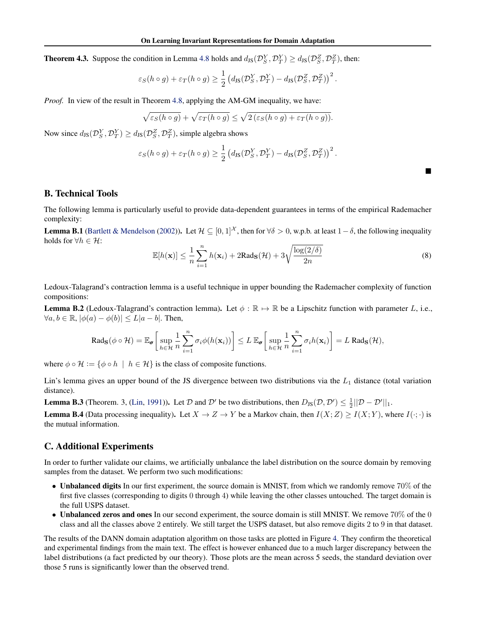<span id="page-3-0"></span>**Theorem 4.3.** Suppose the condition in Lemma [4.8](#page-0-0) holds and  $d_{\text{JS}}(\mathcal{D}_{S}^{Y}, \mathcal{D}_{T}^{Y}) \ge d_{\text{JS}}(\mathcal{D}_{S}^{Z}, \mathcal{D}_{T}^{Z})$ , then:

$$
\varepsilon_S(h \circ g) + \varepsilon_T(h \circ g) \ge \frac{1}{2} \left( d_{\text{JS}}(\mathcal{D}_S^Y, \mathcal{D}_T^Y) - d_{\text{JS}}(\mathcal{D}_S^Z, \mathcal{D}_T^Z) \right)^2.
$$

*Proof.* In view of the result in Theorem [4.8,](#page-0-0) applying the AM-GM inequality, we have:

$$
\sqrt{\varepsilon_S(h \circ g)} + \sqrt{\varepsilon_T(h \circ g)} \le \sqrt{2(\varepsilon_S(h \circ g) + \varepsilon_T(h \circ g))}.
$$

Now since  $d_{\text{JS}}(\mathcal{D}_S^Y, \mathcal{D}_T^Y) \ge d_{\text{JS}}(\mathcal{D}_S^Z, \mathcal{D}_T^Z)$ , simple algebra shows

$$
\varepsilon_S(h \circ g) + \varepsilon_T(h \circ g) \geq \frac{1}{2} \left( d_{\text{JS}}(\mathcal{D}_S^Y, \mathcal{D}_T^Y) - d_{\text{JS}}(\mathcal{D}_S^Z, \mathcal{D}_T^Z) \right)^2.
$$

## B. Technical Tools

The following lemma is particularly useful to provide data-dependent guarantees in terms of the empirical Rademacher complexity:

**Lemma B.1** [\(Bartlett & Mendelson](#page-0-0) [\(2002\)](#page-0-0)). Let  $\mathcal{H} \subseteq [0,1]^{\mathcal{X}}$ , then for  $\forall \delta > 0$ , w.p.b. at least  $1 - \delta$ , the following inequality holds for  $\forall h \in \mathcal{H}$ :

$$
\mathbb{E}[h(\mathbf{x})] \le \frac{1}{n} \sum_{i=1}^{n} h(\mathbf{x}_i) + 2\text{Rad}_{\mathbf{S}}(\mathcal{H}) + 3\sqrt{\frac{\log(2/\delta)}{2n}}
$$
(8)

⌅

Ledoux-Talagrand's contraction lemma is a useful technique in upper bounding the Rademacher complexity of function compositions:

**Lemma B.2** (Ledoux-Talagrand's contraction lemma). Let  $\phi : \mathbb{R} \mapsto \mathbb{R}$  be a Lipschitz function with parameter *L*, i.e.,  $\forall a, b \in \mathbb{R}, |\phi(a) - \phi(b)| \le L|a - b|$ . Then,

$$
\text{Rad}_{\mathbf{S}}(\phi \circ \mathcal{H}) = \mathbb{E}_{\pmb{\sigma}}\bigg[\sup_{h \in \mathcal{H}} \frac{1}{n} \sum_{i=1}^n \sigma_i \phi(h(\mathbf{x}_i))\bigg] \leq L \mathbb{E}_{\pmb{\sigma}}\bigg[\sup_{h \in \mathcal{H}} \frac{1}{n} \sum_{i=1}^n \sigma_i h(\mathbf{x}_i)\bigg] = L \text{ Rad}_{\mathbf{S}}(\mathcal{H}),
$$

where  $\phi \circ \mathcal{H} := \{ \phi \circ h \mid h \in \mathcal{H} \}$  is the class of composite functions.

Lin's lemma gives an upper bound of the JS divergence between two distributions via the *L*<sup>1</sup> distance (total variation distance).

**Lemma B.3** (Theorem. 3, [\(Lin,](#page-0-0) [1991\)](#page-0-0)). Let *D* and *D'* be two distributions, then  $D_{JS}(D, D') \leq \frac{1}{2}||D - D'||_1$ .

**Lemma B.4** (Data processing inequality). Let  $X \to Z \to Y$  be a Markov chain, then  $I(X; Z) \geq I(X; Y)$ , where  $I(\cdot; \cdot)$  is the mutual information.

## C. Additional Experiments

In order to further validate our claims, we artificially unbalance the label distribution on the source domain by removing samples from the dataset. We perform two such modifications:

- Unbalanced digits In our first experiment, the source domain is MNIST, from which we randomly remove 70% of the first five classes (corresponding to digits 0 through 4) while leaving the other classes untouched. The target domain is the full USPS dataset.
- Unbalanced zeros and ones In our second experiment, the source domain is still MNIST. We remove 70% of the 0 class and all the classes above 2 entirely. We still target the USPS dataset, but also remove digits 2 to 9 in that dataset.

The results of the DANN domain adaptation algorithm on those tasks are plotted in Figure [4.](#page-4-0) They confirm the theoretical and experimental findings from the main text. The effect is however enhanced due to a much larger discrepancy between the label distributions (a fact predicted by our theory). Those plots are the mean across 5 seeds, the standard deviation over those 5 runs is significantly lower than the observed trend.